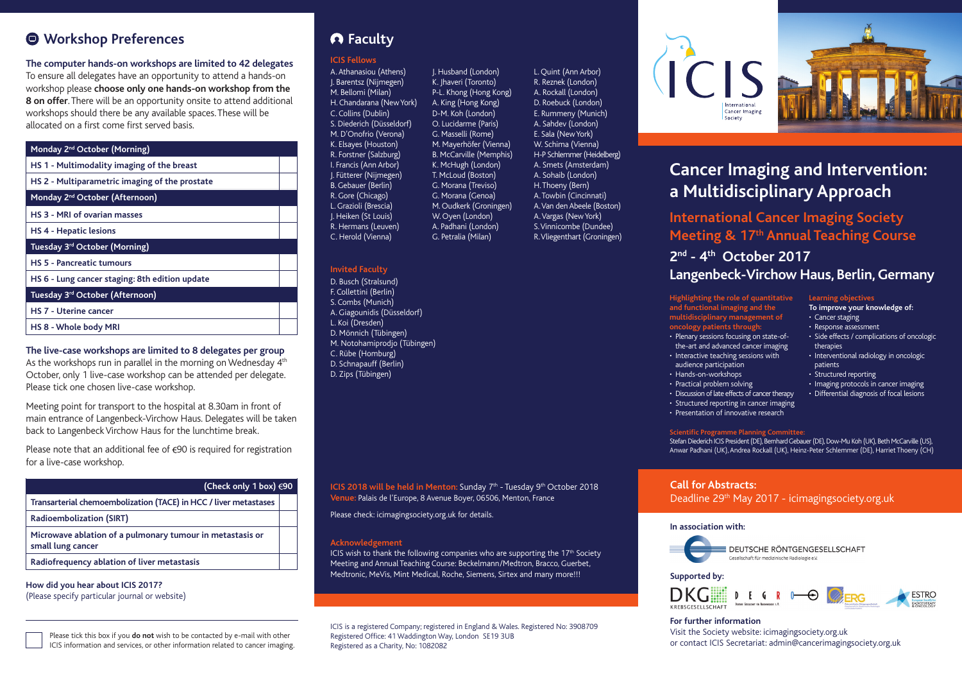### **Workshop Preferences**

### **The computer hands-on workshops are limited to 42 delegates**

To ensure all delegates have an opportunity to attend a hands-on workshop please **choose only one hands-on workshop from the 8 on offer**. There will be an opportunity onsite to attend additional workshops should there be any available spaces. These will be allocated on a first come first served basis.

### **Monday 2nd October (Morning) HS 1 - Multimodality imaging of the breast**

| HS 2 - Multiparametric imaging of the prostate |
|------------------------------------------------|
| Monday 2 <sup>nd</sup> October (Afternoon)     |
| HS 3 - MRI of ovarian masses                   |
| <b>HS 4 - Hepatic lesions</b>                  |
| Tuesday 3 <sup>rd</sup> October (Morning)      |
| <b>HS 5 - Pancreatic tumours</b>               |
| HS 6 - Lung cancer staging: 8th edition update |
| Tuesday 3rd October (Afternoon)                |
| <b>HS 7 - Uterine cancer</b>                   |
| HS 8 - Whole body MRI                          |

### **The live-case workshops are limited to 8 delegates per group**

As the workshops run in parallel in the morning on Wednesday 4<sup>th</sup> October, only 1 live-case workshop can be attended per delegate. Please tick one chosen live-case workshop.

Meeting point for transport to the hospital at 8.30am in front of main entrance of Langenbeck-Virchow Haus. Delegates will be taken back to Langenbeck Virchow Haus for the lunchtime break.

Please note that an additional fee of  $\epsilon$ 90 is required for registration for a live-case workshop.

| (Check only 1 box) $\epsilon$ 90                                               |  |  |  |
|--------------------------------------------------------------------------------|--|--|--|
| Transarterial chemoembolization (TACE) in HCC / liver metastases               |  |  |  |
| <b>Radioembolization (SIRT)</b>                                                |  |  |  |
| Microwave ablation of a pulmonary tumour in metastasis or<br>small lung cancer |  |  |  |
| Radiofrequency ablation of liver metastasis                                    |  |  |  |

**How did you hear about ICIS 2017?** (Please specify particular journal or website)

### **ICIS Fellows**

A. Athanasiou (Athens) J. Barentsz (Nijmegen) M. Bellomi (Milan) H. Chandarana (New York) C. Collins (Dublin) S. Diederich (Düsseldorf) M. D'Onofrio (Verona) K. Elsayes (Houston) R. Forstner (Salzburg) I. Francis (Ann Arbor) J. Fütterer (Nijmegen) B. Gebauer (Berlin) R. Gore (Chicago) L. Grazioli (Brescia) J. Heiken (St Louis) R. Hermans (Leuven) C. Herold (Vienna)

J. Husband (London) K. Jhaveri (Toronto) P-L. Khong (Hong Kong) A. King (Hong Kong) D-M. Koh (London) O. Lucidarme (Paris) G. Masselli (Rome) M. Mayerhöfer (Vienna) B. McCarville (Memphis) K. McHugh (London) T. McLoud (Boston) G. Morana (Treviso) G. Morana (Genoa) M. Oudkerk (Groningen) W. Oyen (London) A. Padhani (London) G. Petralia (Milan)

### **Invited Faculty**

D. Busch (Stralsund) F. Collettini (Berlin) S. Combs (Munich) A. Giagounidis (Düsseldorf) L. Koi (Dresden) D. Mönnich (Tübingen) M. Notohamiprodjo (Tübingen) C. Rübe (Homburg) D. Schnapauff (Berlin) D. Zips (Tübingen)

**ICIS 2018 will be held in Menton: Sunday 7<sup>th</sup> - Tuesday 9<sup>th</sup> October 2018 Venue:** Palais de l'Europe, 8 Avenue Boyer, 06506, Menton, France

Please check: icimagingsociety.org.uk for details.

#### **Acknowledgement**

ICIS wish to thank the following companies who are supporting the 17<sup>th</sup> Society Meeting and Annual Teaching Course: Beckelmann/Medtron, Bracco, Guerbet, Medtronic, MeVis, Mint Medical, Roche, Siemens, Sirtex and many more!!!

ICIS is a registered Company; registered in England & Wales. Registered No: 3908709 Registered Office: 41 Waddington Way, London SE19 3UB Registered as a Charity, No: 1082082

L. Quint (Ann Arbor) R. Reznek (London) A. Rockall (London) D. Roebuck (London) E. Rummeny (Munich) A. Sahdev (London) E. Sala (New York) W. Schima (Vienna) H-P Schlemmer (Heidelberg) A. Smets (Amsterdam) A. Sohaib (London) H. Thoeny (Bern) A. Towbin (Cincinnati) A. Van den Abeele (Boston) A. Vargas (New York) S. Vinnicombe (Dundee) R. Vliegenthart (Groningen)





# **Cancer Imaging and Intervention: a Multidisciplinary Approach**

**International Cancer Imaging Society Meeting & 17th Annual Teaching Course**

### **2nd - 4th October 2017 Langenbeck-Virchow Haus, Berlin, Germany**

**Learning objectives To improve your knowledge of:**

• Side effects / complications of oncologic

• Interventional radiology in oncologic

• Imaging protocols in cancer imaging • Differential diagnosis of focal lesions

• Cancer staging • Response assessment

therapies

patients • Structured reporting

**Highlighting the role of quantitative and functional imaging and the multidisciplinary management of oncology patients through:**

- Plenary sessions focusing on state-ofthe-art and advanced cancer imaging • Interactive teaching sessions with
- audience participation
- Hands-on-workshops • Practical problem solving
- 
- Discussion of late effects of cancer therapy • Structured reporting in cancer imaging
- Presentation of innovative research

#### **Scientific Programme Planning Committee:**

Stefan Diederich ICIS President (DE), Bernhard Gebauer (DE), Dow-Mu Koh (UK), Beth McCarville (US), Anwar Padhani (UK), Andrea Rockall (UK), Heinz-Peter Schlemmer (DE), Harriet Thoeny (CH)

### **Call for Abstracts:**

Deadline 29th May 2017 - icimagingsociety.org.uk

#### **In association with:**



**Supported by:**



### **For further information**

Visit the Society website: icimagingsociety.org.uk or contact ICIS Secretariat: admin@cancerimagingsociety.org.uk

Please tick this box if you **do not** wish to be contacted by e-mail with other ICIS information and services, or other information related to cancer imaging.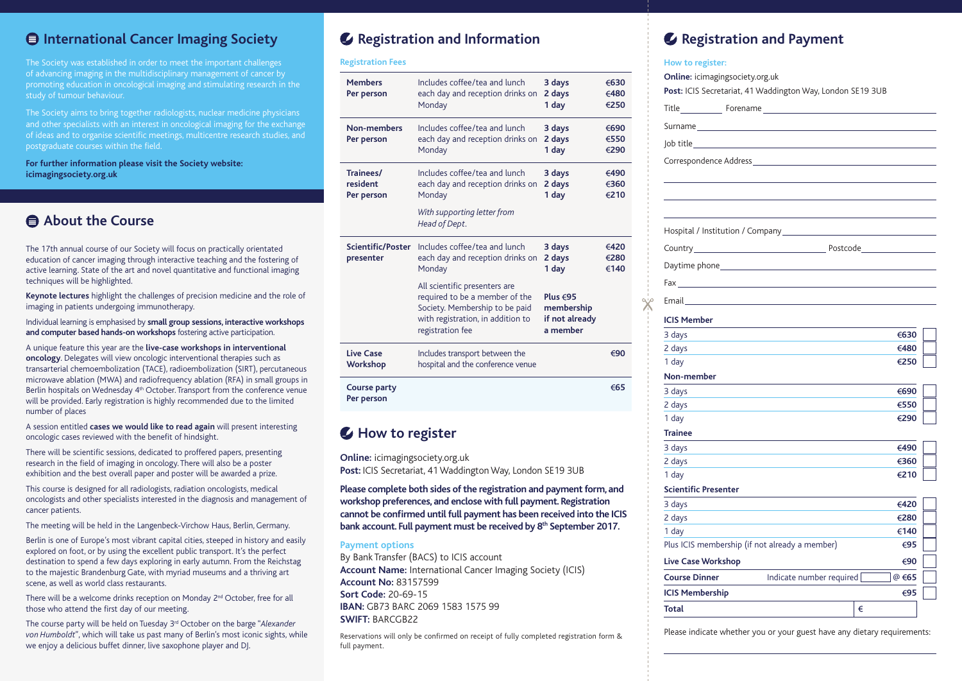### **International Cancer Imaging Society**

The Society was established in order to meet the important challenges of advancing imaging in the multidisciplinary management of cancer by promoting education in oncological imaging and stimulating research in the study of tumour behaviour.

The Society aims to bring together radiologists, nuclear medicine physicians and other specialists with an interest in oncological imaging for the exchange of ideas and to organise scientific meetings, multicentre research studies, and postgraduate courses within the field.

**For further information please visit the Society website: icimagingsociety.org.uk**

### **About the Course**

The 17th annual course of our Society will focus on practically orientated education of cancer imaging through interactive teaching and the fostering of active learning. State of the art and novel quantitative and functional imaging techniques will be highlighted.

**Keynote lectures** highlight the challenges of precision medicine and the role of imaging in patients undergoing immunotherapy.

Individual learning is emphasised by **small group sessions, interactive workshops and computer based hands-on workshops** fostering active participation.

A unique feature this year are the **live-case workshops in interventional oncology**. Delegates will view oncologic interventional therapies such as transarterial chemoembolization (TACE), radioembolization (SIRT), percutaneous microwave ablation (MWA) and radiofrequency ablation (RFA) in small groups in Berlin hospitals on Wednesday 4th October. Transport from the conference venue will be provided. Early registration is highly recommended due to the limited number of places

A session entitled **cases we would like to read again** will present interesting oncologic cases reviewed with the benefit of hindsight.

There will be scientific sessions, dedicated to proffered papers, presenting research in the field of imaging in oncology. There will also be a poster exhibition and the best overall paper and poster will be awarded a prize.

This course is designed for all radiologists, radiation oncologists, medical oncologists and other specialists interested in the diagnosis and management of cancer patients.

The meeting will be held in the Langenbeck-Virchow Haus, Berlin, Germany.

Berlin is one of Europe's most vibrant capital cities, steeped in history and easily explored on foot, or by using the excellent public transport. It's the perfect destination to spend a few days exploring in early autumn. From the Reichstag to the majestic Brandenburg Gate, with myriad museums and a thriving art scene, as well as world class restaurants.

There will be a welcome drinks reception on Monday 2nd October, free for all those who attend the first day of our meeting.

The course party will be held on Tuesday 3rd October on the barge "*Alexander von Humboldt*", which will take us past many of Berlin's most iconic sights, while we enjoy a delicious buffet dinner, live saxophone player and DJ.

### **Registration and Information**

#### **Registration Fees**

| <b>Members</b><br>Per person          | Includes coffee/tea and lunch<br>each day and reception drinks on<br>Monday                                                                                | 3 days<br>2 days<br>1 day                              | €630<br>€480<br>€250 |
|---------------------------------------|------------------------------------------------------------------------------------------------------------------------------------------------------------|--------------------------------------------------------|----------------------|
| Non-members<br>Per person             | Includes coffee/tea and lunch<br>each day and reception drinks on<br>Monday                                                                                | 3 days<br>2 days<br>1 day                              | €690<br>€550<br>€290 |
| Trainees/<br>resident<br>Per person   | Includes coffee/tea and lunch<br>each day and reception drinks on<br>Monday                                                                                | 3 days<br>2 days<br>1 day                              | €490<br>€360<br>€210 |
|                                       | With supporting letter from<br>Head of Dept.                                                                                                               |                                                        |                      |
| <b>Scientific/Poster</b><br>presenter | Includes coffee/tea and lunch<br>each day and reception drinks on<br>Monday                                                                                | 3 days<br>2 days<br>1 day                              | €420<br>€280<br>€140 |
|                                       | All scientific presenters are<br>required to be a member of the<br>Society. Membership to be paid<br>with registration, in addition to<br>registration fee | Plus $695$<br>membership<br>if not already<br>a member |                      |
| <b>Live Case</b><br><b>Workshop</b>   | Includes transport between the<br>hospital and the conference venue                                                                                        |                                                        | €90                  |
| Course party<br>Per person            |                                                                                                                                                            |                                                        | €65                  |
|                                       |                                                                                                                                                            |                                                        |                      |

### **How to register**

**Online:** icimagingsociety.org.uk

**Post:** ICIS Secretariat, 41 Waddington Way, London SE19 3UB

**Please complete both sides of the registration and payment form, and workshop preferences, and enclose with full payment. Registration cannot be confirmed until full payment has been received into the ICIS**  bank account. Full payment must be received by 8<sup>th</sup> September 2017.

#### **Payment options**

By Bank Transfer (BACS) to ICIS account **Account Name:** International Cancer Imaging Society (ICIS) **Account No:** 83157599 **Sort Code:** 20-69-15 **IBAN:** GB73 BARC 2069 1583 1575 99 **SWIFT:** BARCGB22

Reservations will only be confirmed on receipt of fully completed registration form & full payment.

## **Registration and Payment**

### **How to register: Online:** icimagingsociety.org.uk **Post:** ICIS Secretariat, 41 Waddington Way, London SE19 3UB

|                             | $ $ ob title $\qquad \qquad$                                                                                                                                                                                                   |  |
|-----------------------------|--------------------------------------------------------------------------------------------------------------------------------------------------------------------------------------------------------------------------------|--|
|                             |                                                                                                                                                                                                                                |  |
|                             |                                                                                                                                                                                                                                |  |
|                             |                                                                                                                                                                                                                                |  |
|                             |                                                                                                                                                                                                                                |  |
|                             |                                                                                                                                                                                                                                |  |
|                             |                                                                                                                                                                                                                                |  |
|                             | Daytime phone example and the control of the control of the control of the control of the control of the control of the control of the control of the control of the control of the control of the control of the control of t |  |
|                             |                                                                                                                                                                                                                                |  |
|                             |                                                                                                                                                                                                                                |  |
|                             | Email and the contract of the contract of the contract of the contract of the contract of the contract of the                                                                                                                  |  |
| <b>ICIS Member</b>          |                                                                                                                                                                                                                                |  |
| 3 days                      | €630                                                                                                                                                                                                                           |  |
| 2 days                      | €480                                                                                                                                                                                                                           |  |
| 1 day                       | €250                                                                                                                                                                                                                           |  |
| Non-member                  |                                                                                                                                                                                                                                |  |
| 3 days                      | €690                                                                                                                                                                                                                           |  |
| 2 days                      | €550                                                                                                                                                                                                                           |  |
| 1 day                       | €290                                                                                                                                                                                                                           |  |
| <b>Trainee</b>              |                                                                                                                                                                                                                                |  |
| 3 days                      | €490                                                                                                                                                                                                                           |  |
| 2 days                      | €360                                                                                                                                                                                                                           |  |
| 1 day                       | €210                                                                                                                                                                                                                           |  |
| <b>Scientific Presenter</b> |                                                                                                                                                                                                                                |  |
| 3 days                      | €420                                                                                                                                                                                                                           |  |
| 2 days                      | €280                                                                                                                                                                                                                           |  |
| 1 day                       | €140                                                                                                                                                                                                                           |  |
|                             | Plus ICIS membership (if not already a member)<br>€95                                                                                                                                                                          |  |
| <b>Live Case Workshop</b>   | €90                                                                                                                                                                                                                            |  |
| <b>Course Dinner</b>        | Indicate number required [<br>@ €65                                                                                                                                                                                            |  |
| <b>ICIS Membership</b>      | €95                                                                                                                                                                                                                            |  |
| <b>Total</b>                | €                                                                                                                                                                                                                              |  |

Please indicate whether you or your guest have any dietary requirements: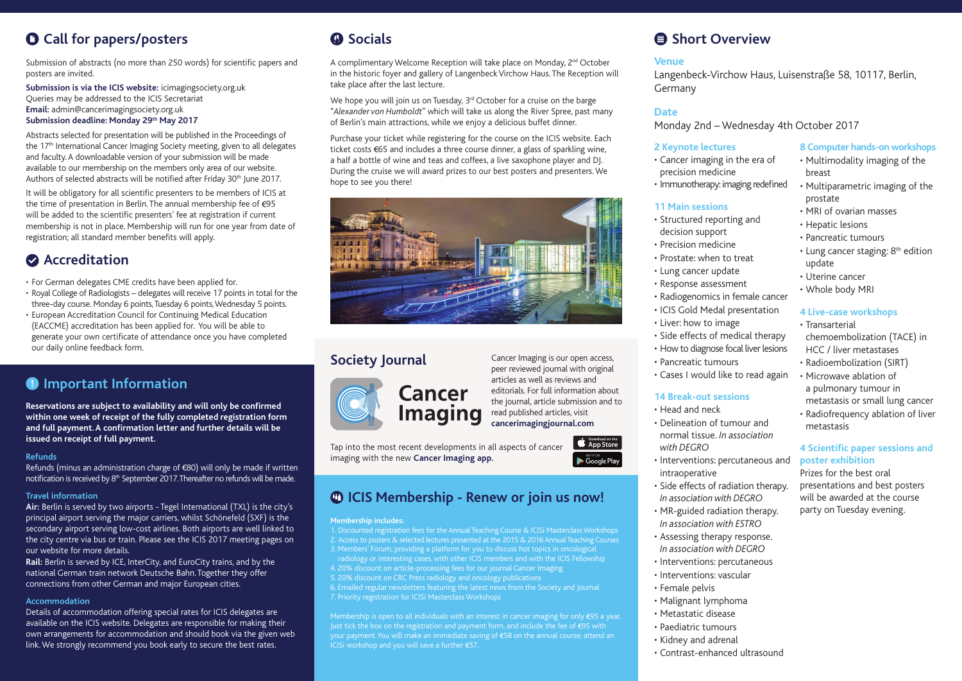## **Call for papers/posters**

Submission of abstracts (no more than 250 words) for scientific papers and posters are invited.

**Submission is via the ICIS website:** icimagingsociety.org.uk Queries may be addressed to the ICIS Secretariat **Email:** admin@cancerimagingsociety.org.uk **Submission deadline: Monday 29th May 2017**

Abstracts selected for presentation will be published in the Proceedings of the 17<sup>th</sup> International Cancer Imaging Society meeting, given to all delegates and faculty. A downloadable version of your submission will be made available to our membership on the members only area of our website. Authors of selected abstracts will be notified after Friday 30<sup>th</sup> June 2017.

It will be obligatory for all scientific presenters to be members of ICIS at the time of presentation in Berlin. The annual membership fee of  $\epsilon$ 95 will be added to the scientific presenters' fee at registration if current membership is not in place. Membership will run for one year from date of registration; all standard member benefits will apply.

### **Accreditation**

• For German delegates CME credits have been applied for.

- Royal College of Radiologists delegates will receive 17 points in total for the three-day course. Monday 6 points, Tuesday 6 points, Wednesday 5 points.
- European Accreditation Council for Continuing Medical Education (EACCME) accreditation has been applied for. You will be able to generate your own certificate of attendance once you have completed our daily online feedback form.

### **Important Information**

**Reservations are subject to availability and will only be confirmed within one week of receipt of the fully completed registration form and full payment. A confirmation letter and further details will be issued on receipt of full payment.** 

#### **Refunds**

Refunds (minus an administration charge of €80) will only be made if written notification is received by 8<sup>th</sup> September 2017. Thereafter no refunds will be made.

#### **Travel information**

**Air:** Berlin is served by two airports - Tegel International (TXL) is the city's principal airport serving the major carriers, whilst Schönefeld (SXF) is the secondary airport serving low-cost airlines. Both airports are well linked to the city centre via bus or train. Please see the ICIS 2017 meeting pages on our website for more details.

**Rail:** Berlin is served by ICE, InterCity, and EuroCity trains, and by the national German train network Deutsche Bahn. Together they offer connections from other German and major European cities.

#### **Accommodation**

Details of accommodation offering special rates for ICIS delegates are available on the ICIS website. Delegates are responsible for making their own arrangements for accommodation and should book via the given web link. We strongly recommend you book early to secure the best rates.

## **C** Socials

A complimentary Welcome Reception will take place on Monday, 2<sup>nd</sup> October in the historic foyer and gallery of Langenbeck Virchow Haus. The Reception will take place after the last lecture.

We hope you will join us on Tuesday, 3<sup>rd</sup> October for a cruise on the barge "*Alexander von Humboldt*" which will take us along the River Spree, past many of Berlin's main attractions, while we enjoy a delicious buffet dinner.

Purchase your ticket while registering for the course on the ICIS website. Each ticket costs €65 and includes a three course dinner, a glass of sparkling wine, a half a bottle of wine and teas and coffees, a live saxophone player and DJ. During the cruise we will award prizes to our best posters and presenters. We hope to see you there!





**Society Journal** Cancer Imaging is our open access, peer reviewed journal with original articles as well as reviews and editorials. For full information about the journal, article submission and to read published articles, visit **cancerimagingjournal.com**

Tap into the most recent developments in all aspects of cancer imaging with the new **Cancer Imaging app.**

## **ICIS Membership - Renew or join us now!**

#### **Membership includes:**

1. Discounted registration fees for the Annual Teaching Course & ICISi Masterclass Workshops 2. Access to posters & selected lectures presented at the 2015 & 2016 Annual Teaching Courses 3. Members' Forum, providing a platform for you to discuss hot topics in oncological radiology or interesting cases, with other ICIS members and with the ICIS Fellowship 4. 20% discount on article-processing fees for our journal Cancer Imaging 5. 20% discount on CRC Press radiology and oncology publications 6. Emailed regular newsletters featuring the latest news from the Society and Journal 7. Priority registration for ICISi Masterclass Workshops

Membership is open to all individuals with an interest in cancer imaging for only €95 a year. Just tick the box on the registration and payment form, and include the fee of  $\epsilon$ 95 with your payment. You will make an immediate saving of €58 on the annual course; attend an ICISi workshop and you will save a further  $E$ 57.

## **A** Short Overview

### **Venue**

Langenbeck-Virchow Haus, Luisenstraße 58, 10117, Berlin, Germany

### **Date**

Monday 2nd – Wednesday 4th October 2017

### **2 Keynote lectures**

- Cancer imaging in the era of precision medicine
- Immunotherapy: imaging redefined

### **11 Main sessions**

- Structured reporting and decision support
- Precision medicine
- Prostate: when to treat
- Lung cancer update
- Response assessment
- Radiogenomics in female cancer
- ICIS Gold Medal presentation
- Liver: how to image
- Side effects of medical therapy
- How to diagnose focal liver lesions
- Pancreatic tumours
- Cases I would like to read again

### **14 Break-out sessions**

- Head and neck
- Delineation of tumour and normal tissue. *In association with DEGRO*
- Interventions: percutaneous and intraoperative
- Side effects of radiation therapy. *In association with DEGRO*
- MR-guided radiation therapy. *In association with ESTRO*
- Assessing therapy response. *In association with DEGRO*
- Interventions: percutaneous
- Interventions: vascular
- Female pelvis
- Malignant lymphoma
- Metastatic disease
- Paediatric tumours
- Kidney and adrenal
- Contrast-enhanced ultrasound

#### **8 Computer hands-on workshops**

- Multimodality imaging of the breast
- Multiparametric imaging of the prostate
- MRI of ovarian masses
- Hepatic lesions
	- Pancreatic tumours
	- $\cdot$  Lung cancer staging:  $8<sup>th</sup>$  edition update
	- Uterine cancer
	- Whole body MRI

#### **4 Live-case workshops**

• Transarterial chemoembolization (TACE) in HCC / liver metastases • Radioembolization (SIRT) • Microwave ablation of a pulmonary tumour in metastasis or small lung cancer

• Radiofrequency ablation of liver metastasis

#### **4 Scientific paper sessions and poster exhibition**

Prizes for the best oral presentations and best posters will be awarded at the course party on Tuesday evening.